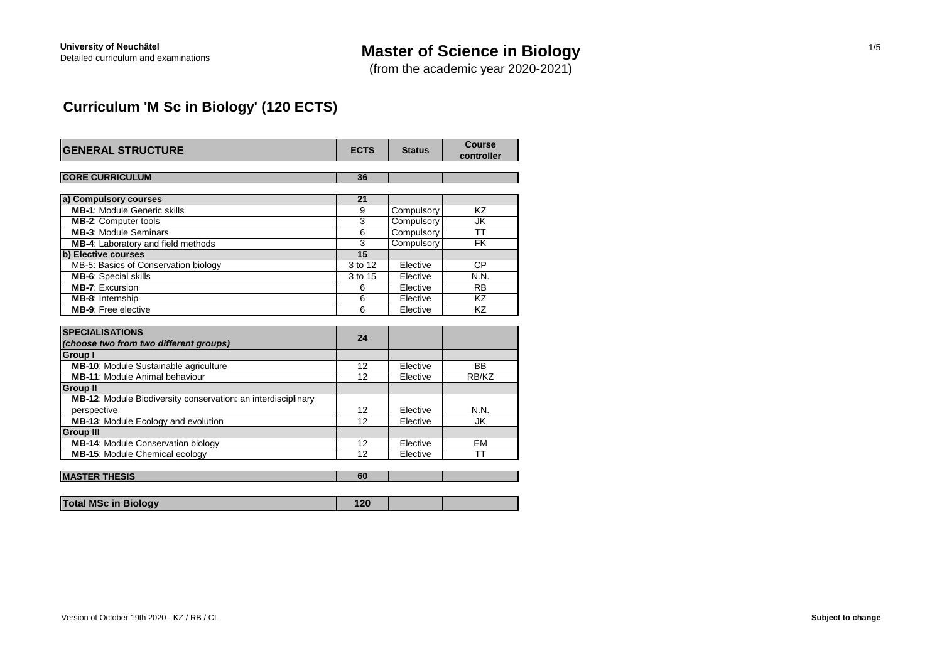# **Master of Science in Biology**

(from the academic year 2020-2021)

# **Curriculum 'M Sc in Biology' (120 ECTS)**

| <b>GENERAL STRUCTURE</b>                                      | <b>ECTS</b> | <b>Status</b> | Course<br>controller |
|---------------------------------------------------------------|-------------|---------------|----------------------|
| <b>CORE CURRICULUM</b>                                        | 36          |               |                      |
|                                                               |             |               |                      |
| a) Compulsory courses                                         | 21          |               |                      |
| <b>MB-1: Module Generic skills</b>                            | 9           | Compulsory    | KZ                   |
| <b>MB-2: Computer tools</b>                                   | 3           | Compulsory    | JK                   |
| <b>MB-3: Module Seminars</b>                                  | 6           | Compulsory    | <b>TT</b>            |
| MB-4: Laboratory and field methods                            | 3           | Compulsory    | <b>FK</b>            |
| b) Elective courses                                           | 15          |               |                      |
| MB-5: Basics of Conservation biology                          | 3 to 12     | Elective      | <b>CP</b>            |
| <b>MB-6:</b> Special skills                                   | 3 to 15     | Elective      | N.N.                 |
| <b>MB-7: Excursion</b>                                        | 6           | Elective      | <b>RB</b>            |
| MB-8: Internship                                              | 6           | Elective      | <b>KZ</b>            |
| <b>MB-9:</b> Free elective                                    | 6           | Elective      | KZ                   |
|                                                               |             |               |                      |
| <b>SPECIALISATIONS</b>                                        | 24          |               |                      |
| (choose two from two different groups)                        |             |               |                      |
| <b>Group I</b>                                                |             |               |                      |
| MB-10: Module Sustainable agriculture                         | 12          | Elective      | <b>BB</b>            |
| <b>MB-11: Module Animal behaviour</b>                         | 12          | Elective      | RB/KZ                |
| <b>Group II</b>                                               |             |               |                      |
| MB-12: Module Biodiversity conservation: an interdisciplinary |             |               |                      |
| perspective                                                   | 12          | Elective      | N.N.                 |
| MB-13: Module Ecology and evolution                           | 12          | Elective      | JK.                  |
| <b>Group III</b>                                              |             |               |                      |
| MB-14: Module Conservation biology                            | 12          | Elective      | <b>EM</b>            |
| <b>MB-15: Module Chemical ecology</b>                         | 12          | Elective      | TT                   |
|                                                               |             |               |                      |
| <b>MASTER THESIS</b>                                          | 60          |               |                      |

| <b>Total MSc in Biology</b> |  |  |
|-----------------------------|--|--|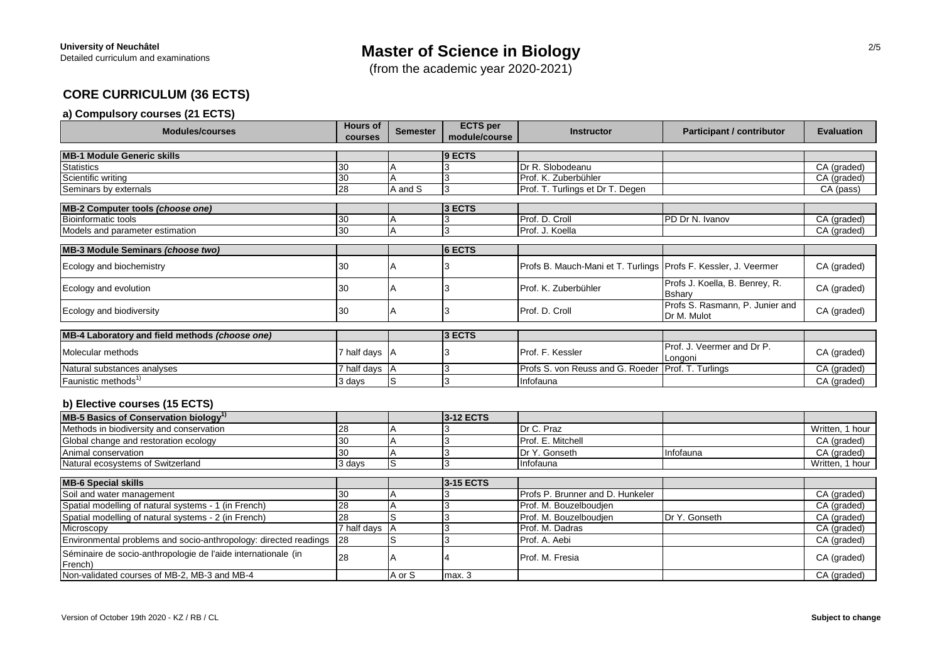(from the academic year 2020-2021)

## **CORE CURRICULUM (36 ECTS)**

## **a) Compulsory courses (21 ECTS)**

| <b>Modules/courses</b>                                                                | <b>Hours of</b><br>courses | <b>Semester</b> | <b>ECTS per</b><br>module/course | <b>Instructor</b>                                                 | <b>Participant / contributor</b>               | <b>Evaluation</b> |
|---------------------------------------------------------------------------------------|----------------------------|-----------------|----------------------------------|-------------------------------------------------------------------|------------------------------------------------|-------------------|
| <b>MB-1 Module Generic skills</b>                                                     |                            |                 | $ 9$ ECTS                        |                                                                   |                                                |                   |
| <b>Statistics</b>                                                                     | 30                         |                 |                                  | Dr R. Slobodeanu                                                  |                                                | CA (graded)       |
| Scientific writing                                                                    | 30                         |                 |                                  | Prof. K. Zuberbühler                                              |                                                | CA (graded)       |
| Seminars by externals                                                                 | 28                         | A and S         |                                  | Prof. T. Turlings et Dr T. Degen                                  |                                                | CA (pass)         |
| MB-2 Computer tools (choose one)                                                      |                            |                 | $3$ ECTS                         |                                                                   |                                                |                   |
| <b>Bioinformatic tools</b>                                                            | 30                         | A               |                                  | Prof. D. Croll                                                    | PD Dr N. Ivanov                                | CA (graded)       |
| Models and parameter estimation                                                       | 30                         | $\overline{A}$  | 3                                | Prof. J. Koella                                                   |                                                | CA (graded)       |
| MB-3 Module Seminars (choose two)                                                     |                            |                 | $6$ ECTS                         |                                                                   |                                                |                   |
|                                                                                       |                            |                 |                                  |                                                                   |                                                |                   |
| Ecology and biochemistry                                                              | 30                         |                 |                                  | Profs B. Mauch-Mani et T. Turlings   Profs F. Kessler, J. Veermer |                                                | CA (graded)       |
| Ecology and evolution                                                                 | 30                         | ΙA              |                                  | Prof. K. Zuberbühler                                              | Profs J. Koella, B. Benrey, R.<br>Bshary       | CA (graded)       |
| Ecology and biodiversity                                                              | 30                         | ΙA              | د. ا                             | Prof. D. Croll                                                    | Profs S. Rasmann, P. Junier and<br>Dr M. Mulot | CA (graded)       |
| MB-4 Laboratory and field methods (choose one)                                        |                            |                 | $3$ ECTS                         |                                                                   |                                                |                   |
| Molecular methods                                                                     | 7 half days A              |                 |                                  | <b>Prof. F. Kessler</b>                                           | Prof. J. Veermer and Dr P.<br>Longoni          | CA (graded)       |
| Natural substances analyses                                                           | 7 half days A              |                 |                                  | Profs S. von Reuss and G. Roeder   Prof. T. Turlings              |                                                | CA (graded)       |
| Faunistic methods <sup>1)</sup>                                                       | 3 days                     | IS.             | 3                                | Infofauna                                                         |                                                | CA (graded)       |
| b) Elective courses (15 ECTS)<br>$MDE$ Peakes of Consequentian bialogue <sup>1)</sup> |                            |                 | $242$ FCTC                       |                                                                   |                                                |                   |

| MB-5 Basics of Conservation biology"         |        | <b>13-12 ECTS</b> |                          |           |                    |
|----------------------------------------------|--------|-------------------|--------------------------|-----------|--------------------|
| Methods in biodiversity and conservation     |        |                   | Dr C. Praz               |           | Written, 1 hour    |
| <b>Global change and restoration ecology</b> |        |                   | <b>Prof. E. Mitchell</b> |           | CA (graded)        |
| Animal conservation                          |        |                   | IDr Y. Gonseth           | Infofauna | CA (graded)        |
| Natural ecosystems of Switzerland            | 3 days |                   | Infofauna                |           | Written.<br>1 hour |

| <b>MB-6 Special skills</b>                                               |                |        | <b>3-15 ECTS</b>    |                                         |               |             |
|--------------------------------------------------------------------------|----------------|--------|---------------------|-----------------------------------------|---------------|-------------|
| Soil and water management                                                |                |        |                     | <b>Profs P. Brunner and D. Hunkeler</b> |               | CA (graded) |
| Spatial modelling of natural systems - 1 (in French)                     | 28             |        |                     | Prof. M. Bouzelboudien                  |               | CA (graded) |
| Spatial modelling of natural systems - 2 (in French)                     |                |        |                     | Prof. M. Bouzelboudien                  | Dr Y. Gonseth | CA (graded) |
| Microscopy                                                               | 7 half davs IA |        |                     | <b>Prof. M. Dadras</b>                  |               | CA (graded) |
| Environmental problems and socio-anthropology: directed readings 28      |                |        |                     | Prof. A. Aebi                           |               | CA (graded) |
| Séminaire de socio-anthropologie de l'aide internationale (in<br>French) | 28             |        |                     | Prof. M. Fresia                         |               | CA (graded) |
| Non-validated courses of MB-2, MB-3 and MB-4                             |                | A or S | $\mathsf{Imax}$ . 3 |                                         |               | CA (graded) |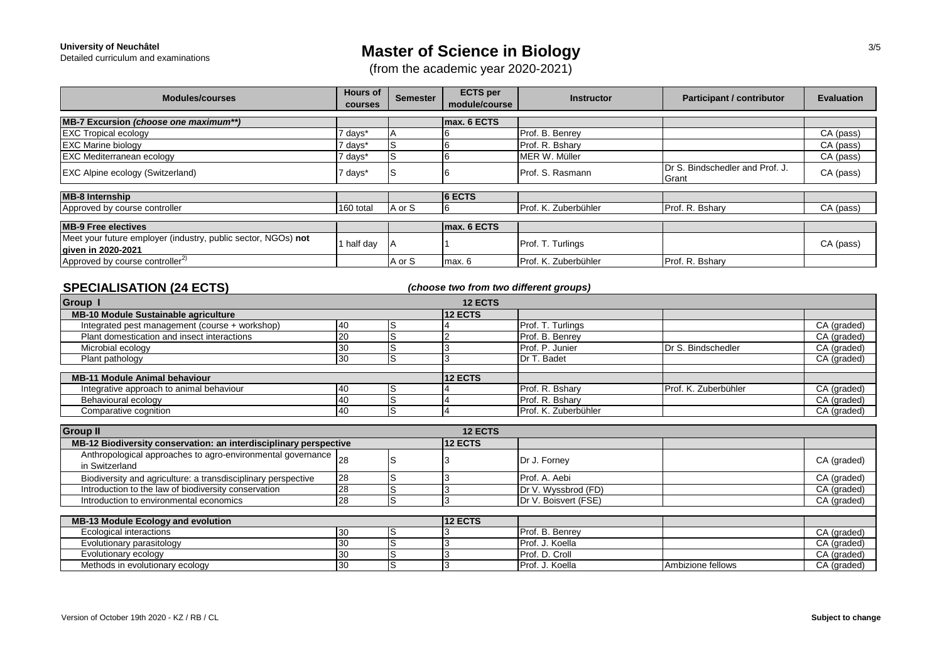# **Master of Science in Biology**

(from the academic year 2020-2021)

| <b>Modules/courses</b>                                                              | <b>Hours of</b><br><b>courses</b> | <b>Semester</b> | <b>ECTS</b> per<br>module/course | <b>Instructor</b>    | <b>Participant / contributor</b>          | <b>Evaluation</b> |
|-------------------------------------------------------------------------------------|-----------------------------------|-----------------|----------------------------------|----------------------|-------------------------------------------|-------------------|
| MB-7 Excursion (choose one maximum**)                                               |                                   |                 | max. 6 ECTS                      |                      |                                           |                   |
| <b>EXC Tropical ecology</b>                                                         | 7 days*                           |                 |                                  | Prof. B. Benrey      |                                           | CA (pass)         |
| <b>EXC Marine biology</b>                                                           | 7 davs*                           | ١S              |                                  | Prof. R. Bshary      |                                           | CA (pass)         |
| <b>EXC Mediterranean ecology</b>                                                    | 7 days*                           | ls              |                                  | MER W. Müller        |                                           | CA (pass)         |
| <b>EXC Alpine ecology (Switzerland)</b>                                             | 7 days*                           | ۱S              |                                  | Prof. S. Rasmann     | IDr S. Bindschedler and Prof. J.<br>Grant | CA (pass)         |
| <b>MB-8 Internship</b>                                                              |                                   |                 | <b>6 ECTS</b>                    |                      |                                           |                   |
| Approved by course controller                                                       | 160 total                         | A or S          |                                  | Prof. K. Zuberbühler | Prof. R. Bshary                           | CA (pass)         |
| <b>MB-9 Free electives</b>                                                          |                                   |                 | max. 6 ECTS                      |                      |                                           |                   |
| Meet your future employer (industry, public sector, NGOs) not<br>given in 2020-2021 | 1 half day                        |                 |                                  | Prof. T. Turlings    |                                           | CA (pass)         |
| Approved by course controller <sup>2)</sup>                                         |                                   | A or S          | max. 6                           | Prof. K. Zuberbühler | Prof. R. Bshary                           |                   |

### *(choose two from two different groups)*

| <b>12 ECTS</b><br>Group                        |    |         |                |                      |                      |             |  |  |
|------------------------------------------------|----|---------|----------------|----------------------|----------------------|-------------|--|--|
| <b>MB-10 Module Sustainable agriculture</b>    |    |         | <b>12 ECTS</b> |                      |                      |             |  |  |
| Integrated pest management (course + workshop) |    |         |                | Prof. T. Turlings    |                      | CA (graded) |  |  |
| Plant domestication and insect interactions    | 20 | IS      |                | Prof. B. Benrey      |                      | CA (graded) |  |  |
| Microbial ecology                              | 30 | ۱S      |                | Prof. P. Junier      | Dr S. Bindschedler   | CA (graded) |  |  |
| Plant pathology                                |    |         |                | Dr T. Badet          |                      | CA (graded) |  |  |
| <b>MB-11 Module Animal behaviour</b>           |    | 12 ECTS |                |                      |                      |             |  |  |
| Integrative approach to animal behaviour       |    |         |                | Prof. R. Bsharv      | Prof. K. Zuberbühler | CA (graded) |  |  |
| Behavioural ecology                            |    |         |                | Prof. R. Bshary      |                      | CA (graded) |  |  |
| Comparative cognition                          |    | IS      |                | Prof. K. Zuberbühler |                      | CA (graded) |  |  |

| <b>Group II</b>                                                                   |    |    | <b>12 ECTS</b> |                      |                   |             |
|-----------------------------------------------------------------------------------|----|----|----------------|----------------------|-------------------|-------------|
| MB-12 Biodiversity conservation: an interdisciplinary perspective                 |    |    | <b>12 ECTS</b> |                      |                   |             |
| Anthropological approaches to agro-environmental governance  28<br>in Switzerland |    | lS |                | Dr J. Forney         |                   | CA (graded) |
| Biodiversity and agriculture: a transdisciplinary perspective                     | 28 |    |                | Prof. A. Aebi        |                   | CA (graded) |
| Introduction to the law of biodiversity conservation                              | 28 | ١S |                | Dr V. Wyssbrod (FD)  |                   | CA (graded) |
| Introduction to environmental economics                                           | 28 |    |                | Dr V. Boisvert (FSE) |                   | CA (graded) |
|                                                                                   |    |    |                |                      |                   |             |
| <b>MB-13 Module Ecology and evolution</b>                                         |    |    | <b>12 ECTS</b> |                      |                   |             |
| Ecological interactions                                                           |    |    |                | Prof. B. Benrey      |                   | CA (graded) |
| Evolutionary parasitology                                                         |    |    |                | Prof. J. Koella      |                   | CA (graded) |
| Evolutionary ecology                                                              | 30 | IS |                | Prof. D. Croll       |                   | CA (graded) |
| Methods in evolutionary ecology                                                   | 30 | lS |                | Prof. J. Koella      | Ambizione fellows | CA (graded) |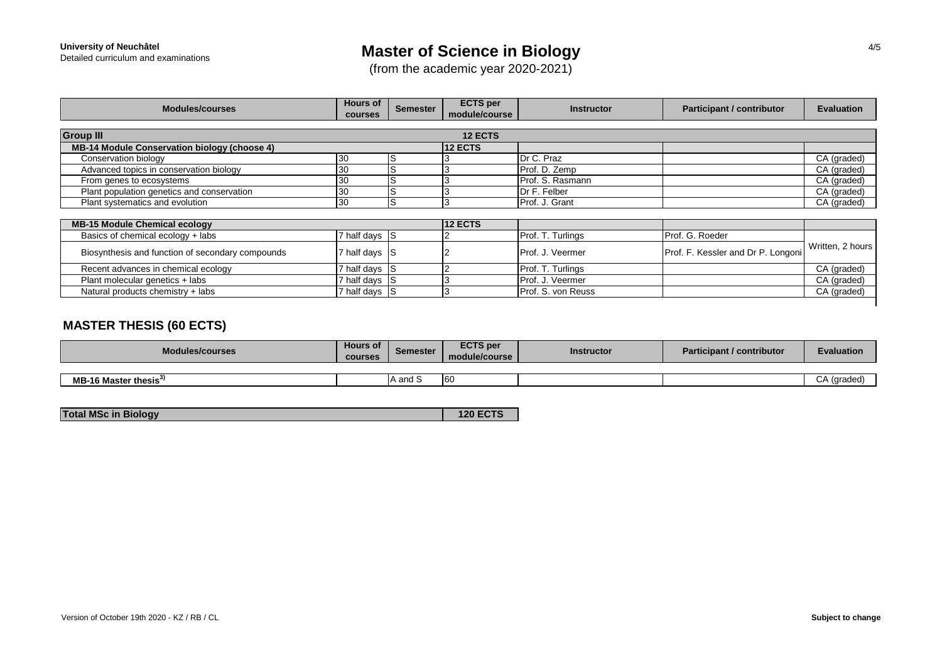# **Master of Science in Biology**

(from the academic year 2020-2021)

| <b>Modules/courses</b>                       | <b>Hours of</b><br><b>courses</b> | <b>Semester</b> | <b>ECTS</b> per<br>module/course | <b>Instructor</b> | <b>Participant / contributor</b> | <b>Evaluation</b> |  |  |  |  |
|----------------------------------------------|-----------------------------------|-----------------|----------------------------------|-------------------|----------------------------------|-------------------|--|--|--|--|
| <b>Group III</b><br><b>12 ECTS</b>           |                                   |                 |                                  |                   |                                  |                   |  |  |  |  |
| MB-14 Module Conservation biology (choose 4) |                                   |                 | <b>12 ECTS</b>                   |                   |                                  |                   |  |  |  |  |
| Conservation biology                         |                                   |                 |                                  | Dr C. Praz        |                                  | CA (graded)       |  |  |  |  |
| Advanced topics in conservation biology      |                                   |                 |                                  | Prof. D. Zemp     |                                  | CA (graded)       |  |  |  |  |
| From genes to ecosystems                     | 30                                |                 |                                  | Prof. S. Rasmann  |                                  | CA (graded)       |  |  |  |  |
| Plant population genetics and conservation   |                                   |                 |                                  | Dr F. Felber      |                                  | CA (graded)       |  |  |  |  |
| Plant systematics and evolution              | '30                               |                 |                                  | Prof. J. Grant    |                                  | CA (graded)       |  |  |  |  |

| <b>MB-15 Module Chemical ecology</b>             |                   | <b>12 ECTS</b> |  |                           |                                    |                  |
|--------------------------------------------------|-------------------|----------------|--|---------------------------|------------------------------------|------------------|
| Basics of chemical ecology + labs                | 7 half days $ S $ |                |  | <b>Prof. T. Turlings</b>  | Prof. G. Roeder                    |                  |
| Biosynthesis and function of secondary compounds | 7 half days $ S $ |                |  | <b>Prof. J. Veermer</b>   | Prof. F. Kessler and Dr P. Longoni | Written, 2 hours |
| Recent advances in chemical ecology              | 7 half days IS    |                |  | <b>Prof. T. Turlings</b>  |                                    | CA (graded)      |
| Plant molecular genetics + labs                  | 7 half days S     |                |  | Prof. J. Veermer          |                                    | CA (graded)      |
| Natural products chemistry + labs                | 7 half days S     |                |  | <b>Prof. S. von Reuss</b> |                                    | CA (graded)      |
|                                                  |                   |                |  |                           |                                    |                  |

## **MASTER THESIS (60 ECTS)**

| Modules/courses                   | <b>Hours</b> of<br><b>courses</b> | <b>Semester</b>          | <b>ECTS per</b><br>module/course | Instructor | <b>Participant / contributor</b> | <b>Evaluation</b> |
|-----------------------------------|-----------------------------------|--------------------------|----------------------------------|------------|----------------------------------|-------------------|
|                                   |                                   |                          |                                  |            |                                  |                   |
| MB-16 Master thesis <sup>3)</sup> |                                   | $\sim$<br><b>A</b> and S | 60                               |            |                                  |                   |

| <b>Total MSc in Biology</b> | <b>120 ECTS</b> |
|-----------------------------|-----------------|
|                             |                 |